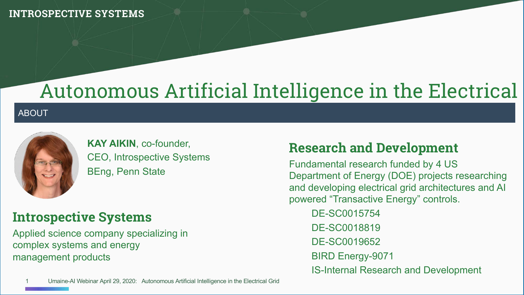## Autonomous Artificial Intelligence in the Electrical

#### **ABOUT**



**KAY AIKIN**, co-founder, CEO, Introspective Systems BEng, Penn State

## **Introspective Systems**

Applied science company specializing in complex systems and energy management products

## **Research and Development**

Fundamental research funded by 4 US Department of Energy (DOE) projects researching and developing electrical grid architectures and AI powered "Transactive Energy" controls.

DE-SC0015754 DE-SC0018819 DE-SC0019652 BIRD Energy-9071 IS-Internal Research and Development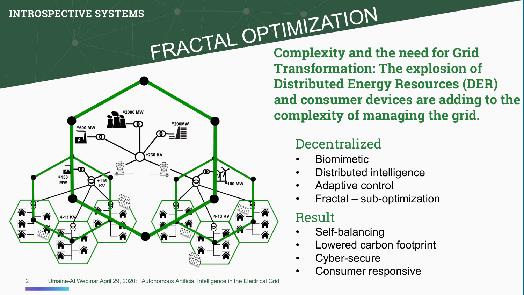

FRACTAL OPTIMIZATION **Complexity and the need for Grid Transformation: The explosion of Distributed Energy Resources (DER) and consumer devices are adding to the complexity of managing the grid.**

## Decentralized

- **Biomimetic**
- Distributed intelligence
- Adaptive control
- Fractal sub-optimization

## Result

- Self-balancing
- Lowered carbon footprint
- Cyber-secure
- Consumer responsive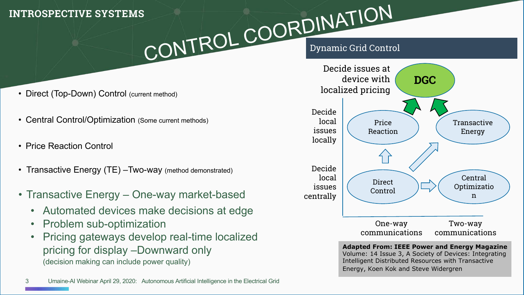# Dynamic Grid Control CONTROL COORDINATION

- Direct (Top-Down) Control (current method)
- Central Control/Optimization (Some current methods)
- Price Reaction Control
- Transactive Energy (TE) -Two-way (method demonstrated)
- Transactive Energy One-way market-based
	- Automated devices make decisions at edge
	- Problem sub-optimization
	- Pricing gateways develop real-time localized pricing for display –Downward only (decision making can include power quality)



**Adapted From: IEEE Power and Energy Magazine**  Volume: 14 Issue 3, A Society of Devices: Integrating Intelligent Distributed Resources with Transactive Energy, Koen Kok and Steve Widergren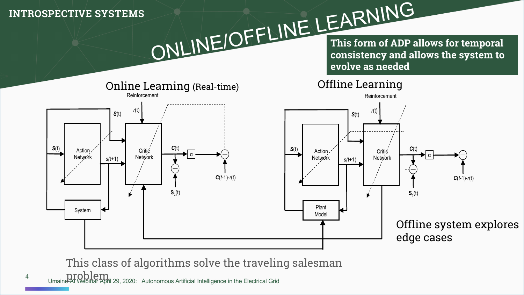ONLINE/OFFLINE LEARNING **This form of ADP allows for temporal consistency and allows the system to evolve as needed**



This class of algorithms solve the traveling salesman

Umaine-AI Webinar April 29, 2020: Autonomous Artificial Intelligence in the Electrical Grid

4